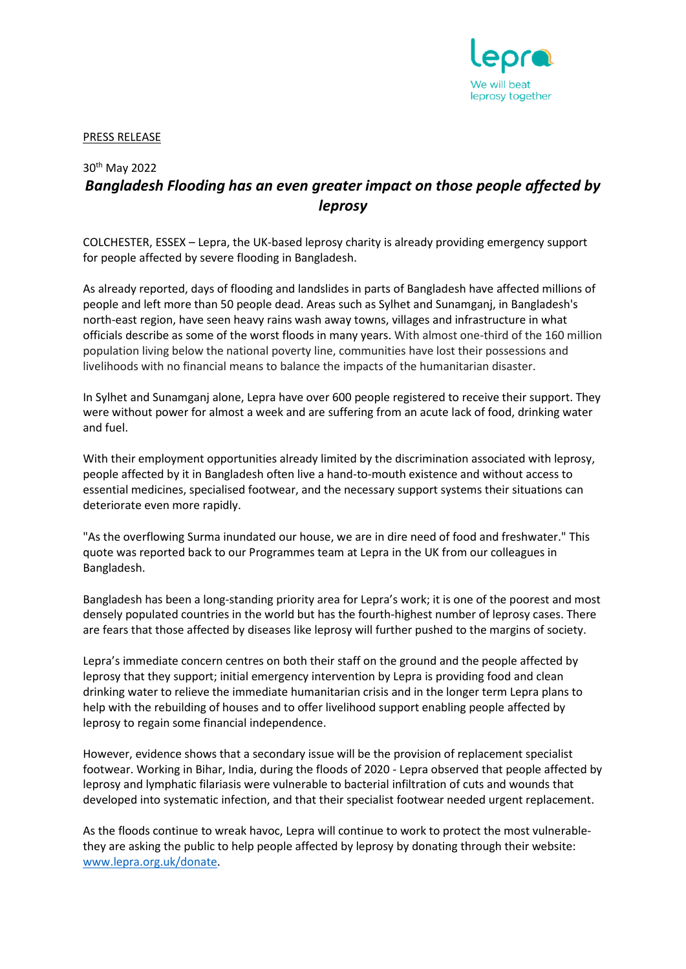

PRESS RELEASE

## 30th May 2022 *Bangladesh Flooding has an even greater impact on those people affected by leprosy*

COLCHESTER, ESSEX – Lepra, the UK-based leprosy charity is already providing emergency support for people affected by severe flooding in Bangladesh.

As already reported, days of flooding and landslides in parts of Bangladesh have affected millions of people and left more than 50 people dead. Areas such as Sylhet and Sunamganj, in Bangladesh's north-east region, have seen heavy rains wash away towns, villages and infrastructure in what officials describe as some of the worst floods in many years. With almost one-third of the 160 million population living below the national poverty line, communities have lost their possessions and livelihoods with no financial means to balance the impacts of the humanitarian disaster.

In Sylhet and Sunamganj alone, Lepra have over 600 people registered to receive their support. They were without power for almost a week and are suffering from an acute lack of food, drinking water and fuel.

With their employment opportunities already limited by the discrimination associated with leprosy, people affected by it in Bangladesh often live a hand-to-mouth existence and without access to essential medicines, specialised footwear, and the necessary support systems their situations can deteriorate even more rapidly.

"As the overflowing Surma inundated our house, we are in dire need of food and freshwater." This quote was reported back to our Programmes team at Lepra in the UK from our colleagues in Bangladesh.

Bangladesh has been a long-standing priority area for Lepra's work; it is one of the poorest and most densely populated countries in the world but has the fourth-highest number of leprosy cases. There are fears that those affected by diseases like leprosy will further pushed to the margins of society.

Lepra's immediate concern centres on both their staff on the ground and the people affected by leprosy that they support; initial emergency intervention by Lepra is providing food and clean drinking water to relieve the immediate humanitarian crisis and in the longer term Lepra plans to help with the rebuilding of houses and to offer livelihood support enabling people affected by leprosy to regain some financial independence.

However, evidence shows that a secondary issue will be the provision of replacement specialist footwear. Working in Bihar, India, during the floods of 2020 - Lepra observed that people affected by leprosy and lymphatic filariasis were vulnerable to bacterial infiltration of cuts and wounds that developed into systematic infection, and that their specialist footwear needed urgent replacement.

As the floods continue to wreak havoc, Lepra will continue to work to protect the most vulnerablethey are asking the public to help people affected by leprosy by donating through their website: [www.lepra.org.uk/donate.](http://www.lepra.org.uk/donate)